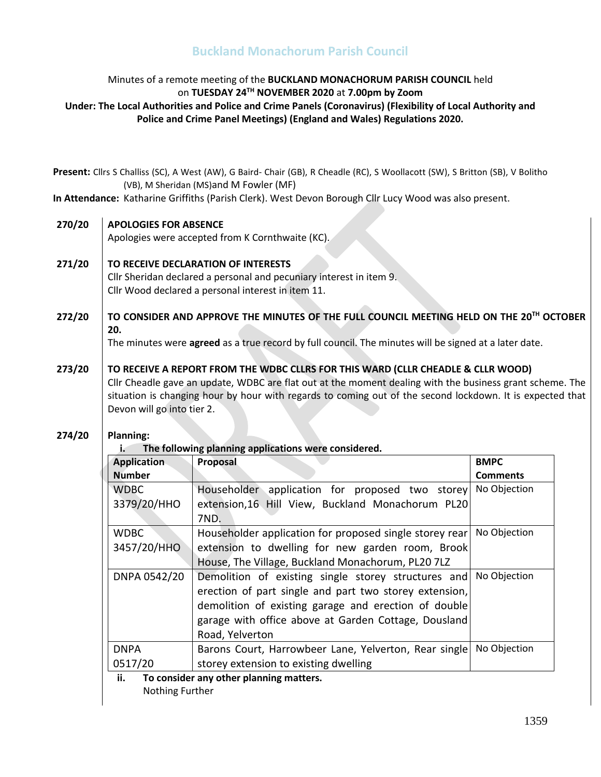## Minutes of a remote meeting of the **BUCKLAND MONACHORUM PARISH COUNCIL** held on **TUESDAY 24 TH NOVEMBER 2020** at **7.00pm by Zoom Under: The Local Authorities and Police and Crime Panels (Coronavirus) (Flexibility of Local Authority and Police and Crime Panel Meetings) (England and Wales) Regulations 2020.**

**Present:** Cllrs S Challiss (SC), A West (AW), G Baird- Chair (GB), R Cheadle (RC), S Woollacott (SW), S Britton (SB), V Bolitho (VB), M Sheridan (MS)and M Fowler (MF)

**In Attendance:** Katharine Griffiths (Parish Clerk). West Devon Borough Cllr Lucy Wood was also present.

#### **270/20 APOLOGIES FOR ABSENCE**

Apologies were accepted from K Cornthwaite (KC).

#### **271/20 TO RECEIVE DECLARATION OF INTERESTS**

Cllr Sheridan declared a personal and pecuniary interest in item 9. Cllr Wood declared a personal interest in item 11.

### **272/20 TO CONSIDER AND APPROVE THE MINUTES OF THE FULL COUNCIL MEETING HELD ON THE 20 TH OCTOBER 20.**

The minutes were **agreed** as a true record by full council. The minutes will be signed at a later date.

### **273/20 TO RECEIVE A REPORT FROM THE WDBC CLLRS FOR THIS WARD (CLLR CHEADLE & CLLR WOOD)** Cllr Cheadle gave an update, WDBC are flat out at the moment dealing with the business grant scheme. The situation is changing hour by hour with regards to coming out of the second lockdown. It is expected that Devon will go into tier 2.

#### **274/20 Planning:**

**i. The following planning applications were considered.** 

| Application                                    | <b>Proposal</b>                                         | <b>BMPC</b>     |
|------------------------------------------------|---------------------------------------------------------|-----------------|
| <b>Number</b>                                  |                                                         | <b>Comments</b> |
| <b>WDBC</b>                                    | Householder application for proposed two storey         | No Objection    |
| 3379/20/HHO                                    | extension,16 Hill View, Buckland Monachorum PL20        |                 |
|                                                | 7ND.                                                    |                 |
| <b>WDBC</b>                                    | Householder application for proposed single storey rear | No Objection    |
| 3457/20/HHO                                    | extension to dwelling for new garden room, Brook        |                 |
|                                                | House, The Village, Buckland Monachorum, PL20 7LZ       |                 |
| DNPA 0542/20                                   | Demolition of existing single storey structures and     | No Objection    |
|                                                | erection of part single and part two storey extension,  |                 |
|                                                | demolition of existing garage and erection of double    |                 |
|                                                | garage with office above at Garden Cottage, Dousland    |                 |
|                                                | Road, Yelverton                                         |                 |
| <b>DNPA</b>                                    | Barons Court, Harrowbeer Lane, Yelverton, Rear single   | No Objection    |
| 0517/20                                        | storey extension to existing dwelling                   |                 |
| ii.<br>To consider any other planning matters. |                                                         |                 |
| Nothing Further                                |                                                         |                 |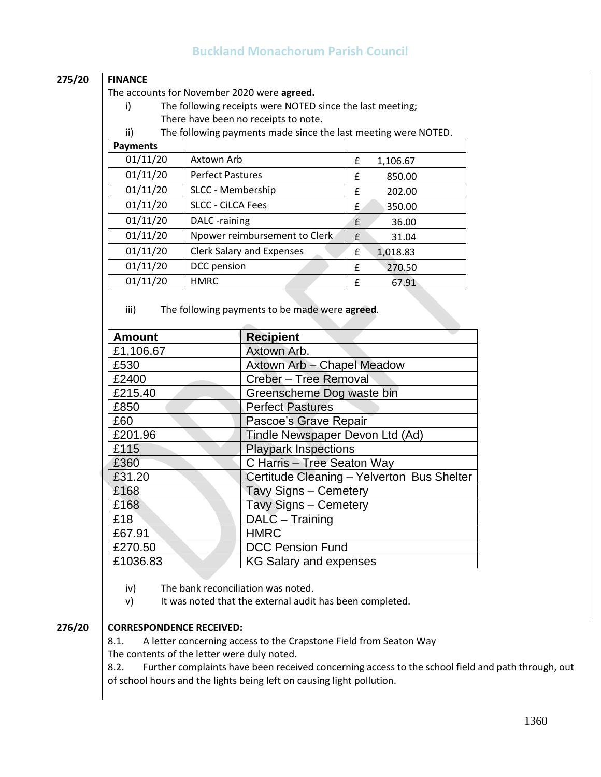## **275/20 FINANCE**

The accounts for November 2020 were **agreed.**

i) The following receipts were NOTED since the last meeting; There have been no receipts to note.

ii) The following payments made since the last meeting were NOTED.

| <b>Payments</b> |                               |               |
|-----------------|-------------------------------|---------------|
| 01/11/20        | Axtown Arb                    | 1,106.67<br>£ |
| 01/11/20        | <b>Perfect Pastures</b>       | 850.00<br>£   |
| 01/11/20        | SLCC - Membership             | 202.00<br>£   |
| 01/11/20        | <b>SLCC - CiLCA Fees</b>      | £<br>350.00   |
| 01/11/20        | DALC -raining                 | 36.00<br>£    |
| 01/11/20        | Npower reimbursement to Clerk | £<br>31.04    |
| 01/11/20        | Clerk Salary and Expenses     | £<br>1,018.83 |
| 01/11/20        | DCC pension                   | 270.50<br>£   |
| 01/11/20        | <b>HMRC</b>                   | 67.91<br>£    |

iii) The following payments to be made were **agreed**.

| <b>Amount</b> | <b>Recipient</b>                           |
|---------------|--------------------------------------------|
| £1,106.67     | Axtown Arb.                                |
| £530          | Axtown Arb - Chapel Meadow                 |
| £2400         | Creber - Tree Removal                      |
| £215.40       | Greenscheme Dog waste bin                  |
| £850          | <b>Perfect Pastures</b>                    |
| £60           | Pascoe's Grave Repair                      |
| £201.96       | Tindle Newspaper Devon Ltd (Ad)            |
| £115          | <b>Playpark Inspections</b>                |
| £360          | C Harris - Tree Seaton Way                 |
| £31.20        | Certitude Cleaning - Yelverton Bus Shelter |
| £168          | Tavy Signs - Cemetery                      |
| £168          | Tavy Signs - Cemetery                      |
| £18           | DALC - Training                            |
| £67.91        | <b>HMRC</b>                                |
| £270.50       | <b>DCC Pension Fund</b>                    |
| £1036.83      | <b>KG Salary and expenses</b>              |

iv) The bank reconciliation was noted.

v) It was noted that the external audit has been completed.

## **276/20 CORRESPONDENCE RECEIVED:**

8.1. A letter concerning access to the Crapstone Field from Seaton Way The contents of the letter were duly noted.

8.2. Further complaints have been received concerning access to the school field and path through, out of school hours and the lights being left on causing light pollution.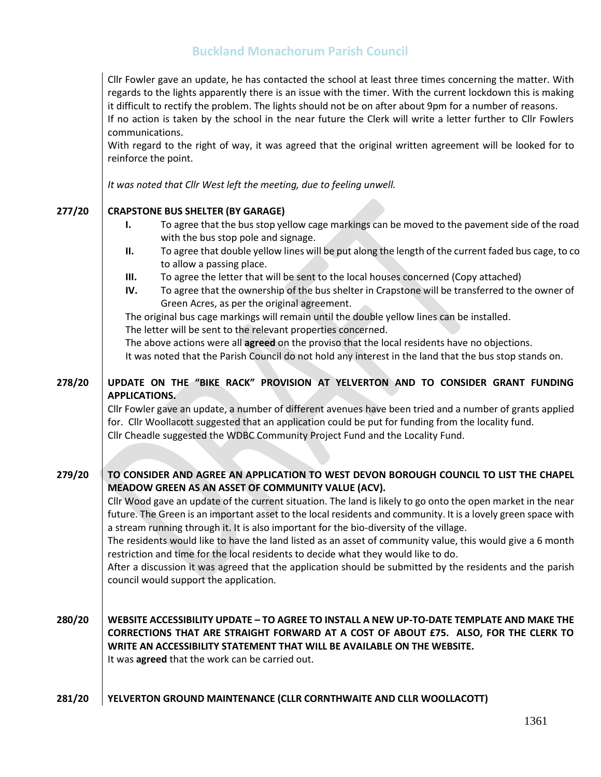Cllr Fowler gave an update, he has contacted the school at least three times concerning the matter. With regards to the lights apparently there is an issue with the timer. With the current lockdown this is making it difficult to rectify the problem. The lights should not be on after about 9pm for a number of reasons. If no action is taken by the school in the near future the Clerk will write a letter further to Cllr Fowlers

communications.

With regard to the right of way, it was agreed that the original written agreement will be looked for to reinforce the point.

*It was noted that Cllr West left the meeting, due to feeling unwell.* 

#### **277/20 CRAPSTONE BUS SHELTER (BY GARAGE)**

- **I.** To agree that the bus stop yellow cage markings can be moved to the pavement side of the road with the bus stop pole and signage.
- **II.** To agree that double yellow lines will be put along the length of the current faded bus cage, to co to allow a passing place.
- **III.** To agree the letter that will be sent to the local houses concerned (Copy attached)
- **IV.** To agree that the ownership of the bus shelter in Crapstone will be transferred to the owner of Green Acres, as per the original agreement.

The original bus cage markings will remain until the double yellow lines can be installed.

The letter will be sent to the relevant properties concerned.

The above actions were all **agreed** on the proviso that the local residents have no objections.

It was noted that the Parish Council do not hold any interest in the land that the bus stop stands on.

### **278/20 UPDATE ON THE "BIKE RACK" PROVISION AT YELVERTON AND TO CONSIDER GRANT FUNDING APPLICATIONS.**

Cllr Fowler gave an update, a number of different avenues have been tried and a number of grants applied for. Cllr Woollacott suggested that an application could be put for funding from the locality fund. Cllr Cheadle suggested the WDBC Community Project Fund and the Locality Fund.

**279/20 TO CONSIDER AND AGREE AN APPLICATION TO WEST DEVON BOROUGH COUNCIL TO LIST THE CHAPEL MEADOW GREEN AS AN ASSET OF COMMUNITY VALUE (ACV).**

> Cllr Wood gave an update of the current situation. The land is likely to go onto the open market in the near future. The Green is an important asset to the local residents and community. It is a lovely green space with a stream running through it. It is also important for the bio-diversity of the village.

> The residents would like to have the land listed as an asset of community value, this would give a 6 month restriction and time for the local residents to decide what they would like to do.

> After a discussion it was agreed that the application should be submitted by the residents and the parish council would support the application.

**280/20 WEBSITE ACCESSIBILITY UPDATE – TO AGREE TO INSTALL A NEW UP-TO-DATE TEMPLATE AND MAKE THE CORRECTIONS THAT ARE STRAIGHT FORWARD AT A COST OF ABOUT £75. ALSO, FOR THE CLERK TO WRITE AN ACCESSIBILITY STATEMENT THAT WILL BE AVAILABLE ON THE WEBSITE.** It was **agreed** that the work can be carried out.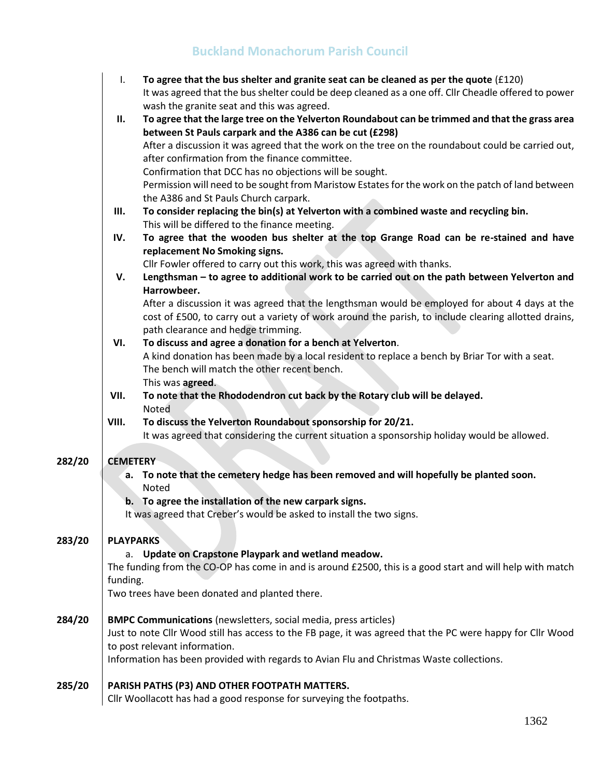|        | I.               | To agree that the bus shelter and granite seat can be cleaned as per the quote $(f120)$<br>It was agreed that the bus shelter could be deep cleaned as a one off. Cllr Cheadle offered to power<br>wash the granite seat and this was agreed. |
|--------|------------------|-----------------------------------------------------------------------------------------------------------------------------------------------------------------------------------------------------------------------------------------------|
|        | <b>II.</b>       | To agree that the large tree on the Yelverton Roundabout can be trimmed and that the grass area                                                                                                                                               |
|        |                  | between St Pauls carpark and the A386 can be cut (£298)                                                                                                                                                                                       |
|        |                  | After a discussion it was agreed that the work on the tree on the roundabout could be carried out,                                                                                                                                            |
|        |                  | after confirmation from the finance committee.                                                                                                                                                                                                |
|        |                  | Confirmation that DCC has no objections will be sought.                                                                                                                                                                                       |
|        |                  | Permission will need to be sought from Maristow Estates for the work on the patch of land between<br>the A386 and St Pauls Church carpark.                                                                                                    |
|        | Ш.               | To consider replacing the bin(s) at Yelverton with a combined waste and recycling bin.                                                                                                                                                        |
|        |                  | This will be differed to the finance meeting.                                                                                                                                                                                                 |
|        | IV.              | To agree that the wooden bus shelter at the top Grange Road can be re-stained and have                                                                                                                                                        |
|        |                  | replacement No Smoking signs.                                                                                                                                                                                                                 |
|        |                  | Cllr Fowler offered to carry out this work, this was agreed with thanks.                                                                                                                                                                      |
|        | V.               | Lengthsman - to agree to additional work to be carried out on the path between Yelverton and<br>Harrowbeer.                                                                                                                                   |
|        |                  | After a discussion it was agreed that the lengthsman would be employed for about 4 days at the                                                                                                                                                |
|        |                  | cost of £500, to carry out a variety of work around the parish, to include clearing allotted drains,                                                                                                                                          |
|        |                  | path clearance and hedge trimming.                                                                                                                                                                                                            |
|        | VI.              | To discuss and agree a donation for a bench at Yelverton.                                                                                                                                                                                     |
|        |                  | A kind donation has been made by a local resident to replace a bench by Briar Tor with a seat.                                                                                                                                                |
|        |                  | The bench will match the other recent bench.                                                                                                                                                                                                  |
|        |                  | This was agreed.                                                                                                                                                                                                                              |
|        | VII.             | To note that the Rhododendron cut back by the Rotary club will be delayed.<br>Noted                                                                                                                                                           |
|        | VIII.            | To discuss the Yelverton Roundabout sponsorship for 20/21.                                                                                                                                                                                    |
|        |                  | It was agreed that considering the current situation a sponsorship holiday would be allowed.                                                                                                                                                  |
| 282/20 | <b>CEMETERY</b>  |                                                                                                                                                                                                                                               |
|        | а.               | To note that the cemetery hedge has been removed and will hopefully be planted soon.                                                                                                                                                          |
|        |                  | Noted                                                                                                                                                                                                                                         |
|        | b.               | To agree the installation of the new carpark signs.                                                                                                                                                                                           |
|        |                  | It was agreed that Creber's would be asked to install the two signs.                                                                                                                                                                          |
| 283/20 | <b>PLAYPARKS</b> |                                                                                                                                                                                                                                               |
|        | а.               | Update on Crapstone Playpark and wetland meadow.                                                                                                                                                                                              |
|        |                  | The funding from the CO-OP has come in and is around £2500, this is a good start and will help with match                                                                                                                                     |
|        | funding.         |                                                                                                                                                                                                                                               |
|        |                  | Two trees have been donated and planted there.                                                                                                                                                                                                |
| 284/20 |                  | <b>BMPC Communications</b> (newsletters, social media, press articles)                                                                                                                                                                        |
|        |                  | Just to note Cllr Wood still has access to the FB page, it was agreed that the PC were happy for Cllr Wood                                                                                                                                    |
|        |                  | to post relevant information.                                                                                                                                                                                                                 |
|        |                  | Information has been provided with regards to Avian Flu and Christmas Waste collections.                                                                                                                                                      |
| 285/20 |                  | PARISH PATHS (P3) AND OTHER FOOTPATH MATTERS.                                                                                                                                                                                                 |
|        |                  | Cllr Woollacett has had a good response for supreming the footpaths                                                                                                                                                                           |

Cllr Woollacott has had a good response for surveying the footpaths.